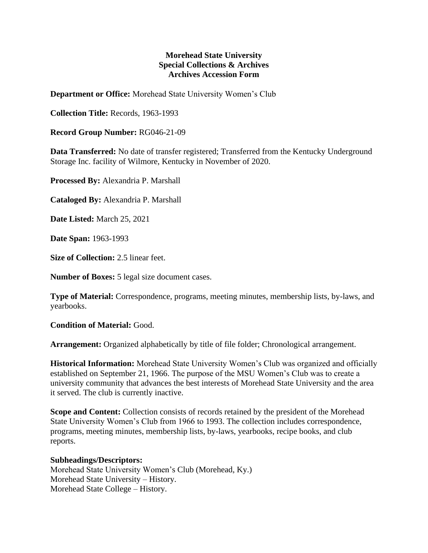## **Morehead State University Special Collections & Archives Archives Accession Form**

**Department or Office:** Morehead State University Women's Club

**Collection Title:** Records, 1963-1993

**Record Group Number:** RG046-21-09

**Data Transferred:** No date of transfer registered; Transferred from the Kentucky Underground Storage Inc. facility of Wilmore, Kentucky in November of 2020.

**Processed By:** Alexandria P. Marshall

**Cataloged By:** Alexandria P. Marshall

**Date Listed:** March 25, 2021

**Date Span:** 1963-1993

**Size of Collection:** 2.5 linear feet.

**Number of Boxes:** 5 legal size document cases.

**Type of Material:** Correspondence, programs, meeting minutes, membership lists, by-laws, and yearbooks.

**Condition of Material:** Good.

**Arrangement:** Organized alphabetically by title of file folder; Chronological arrangement.

**Historical Information:** Morehead State University Women's Club was organized and officially established on September 21, 1966. The purpose of the MSU Women's Club was to create a university community that advances the best interests of Morehead State University and the area it served. The club is currently inactive.

**Scope and Content:** Collection consists of records retained by the president of the Morehead State University Women's Club from 1966 to 1993. The collection includes correspondence, programs, meeting minutes, membership lists, by-laws, yearbooks, recipe books, and club reports.

## **Subheadings/Descriptors:**

Morehead State University Women's Club (Morehead, Ky.) Morehead State University – History. Morehead State College – History.